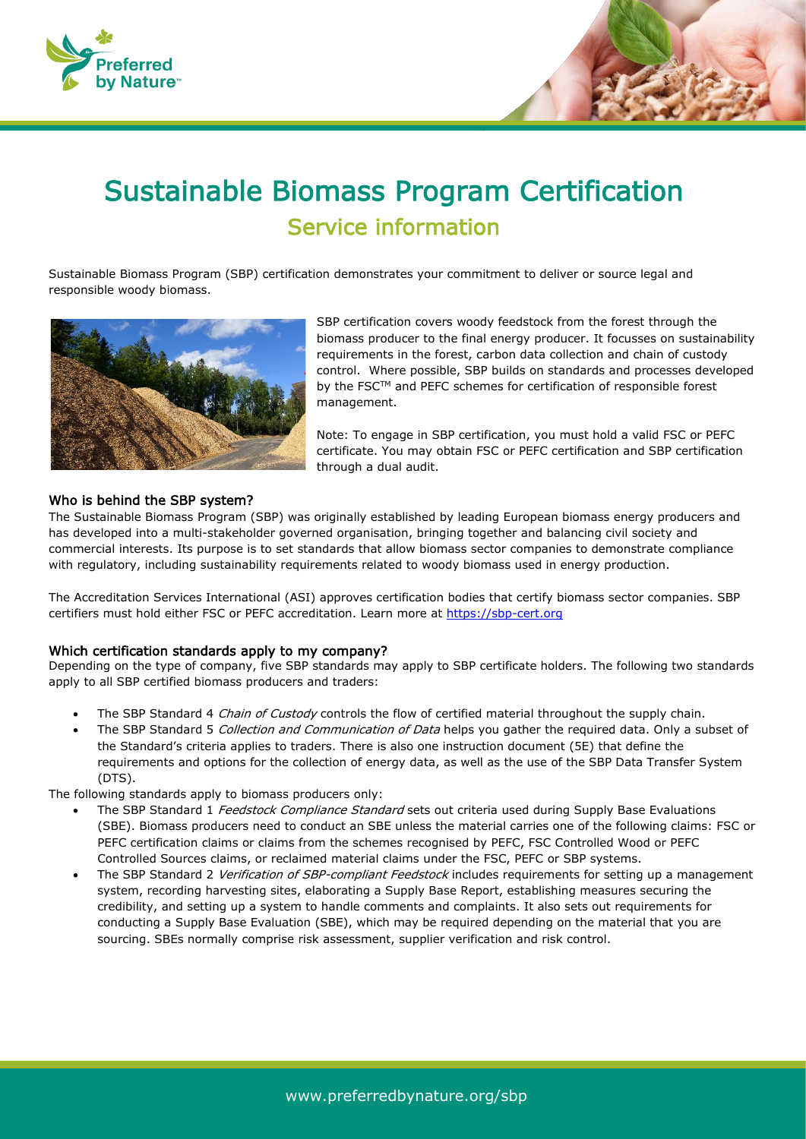

# Sustainable Biomass Program Certification Service information

Sustainable Biomass Program (SBP) certification demonstrates your commitment to deliver or source legal and responsible woody biomass.



SBP certification covers woody feedstock from the forest through the biomass producer to the final energy producer. It focusses on sustainability requirements in the forest, carbon data collection and chain of custody control. Where possible, SBP builds on standards and processes developed by the FSC™ and PEFC schemes for certification of responsible forest management.

Note: To engage in SBP certification, you must hold a valid FSC or PEFC certificate. You may obtain FSC or PEFC certification and SBP certification through a dual audit.

### Who is behind the SBP system?

The Sustainable Biomass Program (SBP) was originally established by leading European biomass energy producers and has developed into a multi-stakeholder governed organisation, bringing together and balancing civil society and commercial interests. Its purpose is to set standards that allow biomass sector companies to demonstrate compliance with regulatory, including sustainability requirements related to woody biomass used in energy production.

The Accreditation Services International (ASI) approves certification bodies that certify biomass sector companies. SBP certifiers must hold either FSC or PEFC accreditation. Learn more at [https://sbp-cert.org](https://sbp-cert.org/)

### Which certification standards apply to my company?

Depending on the type of company, five SBP standards may apply to SBP certificate holders. The following two standards apply to all SBP certified biomass producers and traders:

- The SBP Standard 4 Chain of Custody controls the flow of certified material throughout the supply chain.
- The SBP Standard 5 Collection and Communication of Data helps you gather the required data. Only a subset of the Standard's criteria applies to traders. There is also one instruction document (5E) that define the requirements and options for the collection of energy data, as well as the use of the SBP Data Transfer System (DTS).

The following standards apply to biomass producers only:

- The SBP Standard 1 Feedstock Compliance Standard sets out criteria used during Supply Base Evaluations (SBE). Biomass producers need to conduct an SBE unless the material carries one of the following claims: FSC or PEFC certification claims or claims from the schemes recognised by PEFC, FSC Controlled Wood or PEFC Controlled Sources claims, or reclaimed material claims under the FSC, PEFC or SBP systems.
- The SBP Standard 2 Verification of SBP-compliant Feedstock includes requirements for setting up a management system, recording harvesting sites, elaborating a Supply Base Report, establishing measures securing the credibility, and setting up a system to handle comments and complaints. It also sets out requirements for conducting a Supply Base Evaluation (SBE), which may be required depending on the material that you are sourcing. SBEs normally comprise risk assessment, supplier verification and risk control.